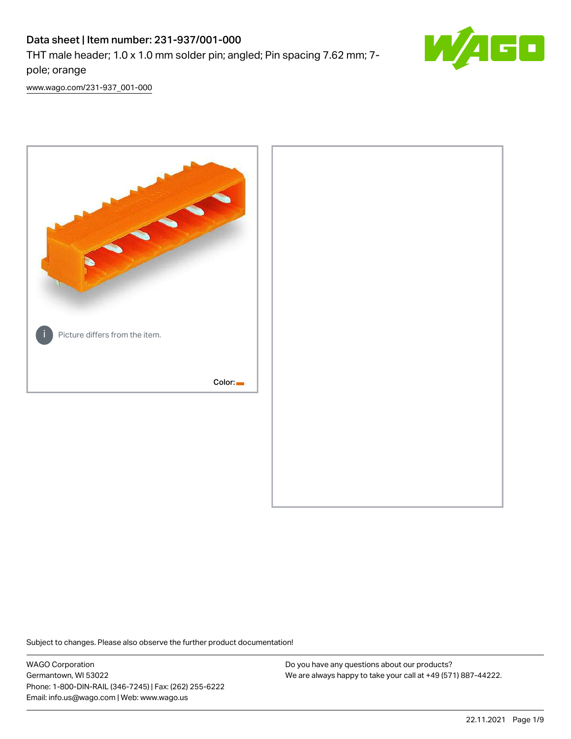# Data sheet | Item number: 231-937/001-000

THT male header; 1.0 x 1.0 mm solder pin; angled; Pin spacing 7.62 mm; 7 pole; orange



[www.wago.com/231-937\\_001-000](http://www.wago.com/231-937_001-000)



Subject to changes. Please also observe the further product documentation!

WAGO Corporation Germantown, WI 53022 Phone: 1-800-DIN-RAIL (346-7245) | Fax: (262) 255-6222 Email: info.us@wago.com | Web: www.wago.us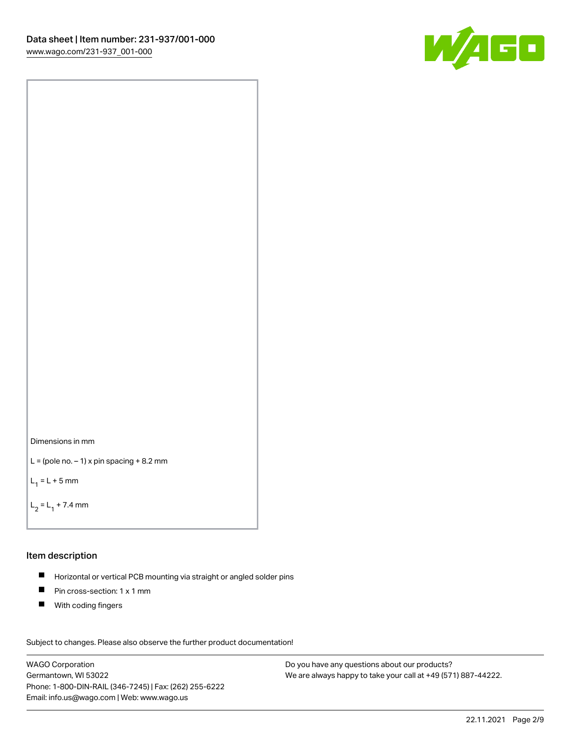



```
L = (pole no. -1) x pin spacing +8.2 mm
```
 $L_1 = L + 5$  mm

```
L_2 = L_1 + 7.4 mm
```
### Item description

- Horizontal or vertical PCB mounting via straight or angled solder pins  $\blacksquare$
- $\blacksquare$ Pin cross-section: 1 x 1 mm
- $\blacksquare$ With coding fingers

Subject to changes. Please also observe the further product documentation! Data

WAGO Corporation Germantown, WI 53022 Phone: 1-800-DIN-RAIL (346-7245) | Fax: (262) 255-6222 Email: info.us@wago.com | Web: www.wago.us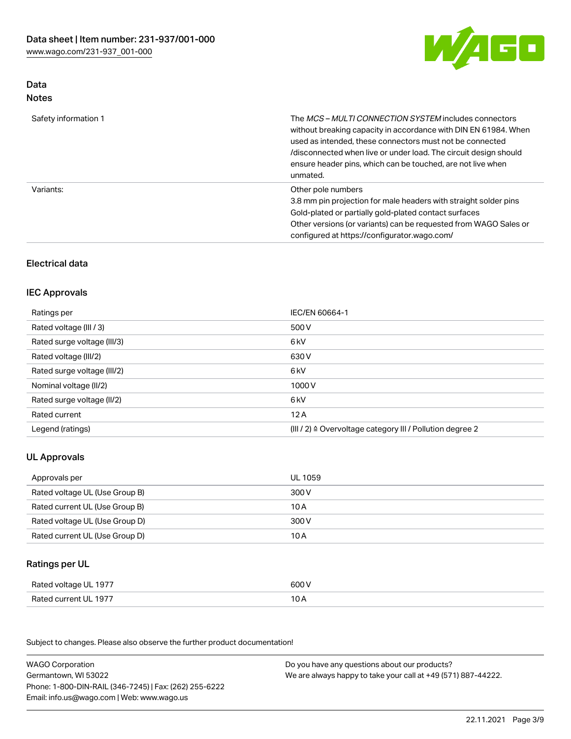

## Data Notes

| Safety information 1 | The <i>MCS – MULTI CONNECTION SYSTEM</i> includes connectors<br>without breaking capacity in accordance with DIN EN 61984. When<br>used as intended, these connectors must not be connected<br>/disconnected when live or under load. The circuit design should<br>ensure header pins, which can be touched, are not live when<br>unmated. |
|----------------------|--------------------------------------------------------------------------------------------------------------------------------------------------------------------------------------------------------------------------------------------------------------------------------------------------------------------------------------------|
| Variants:            | Other pole numbers<br>3.8 mm pin projection for male headers with straight solder pins<br>Gold-plated or partially gold-plated contact surfaces<br>Other versions (or variants) can be requested from WAGO Sales or<br>configured at https://configurator.wago.com/                                                                        |

## Electrical data

## IEC Approvals

| Ratings per                 | IEC/EN 60664-1                                                        |
|-----------------------------|-----------------------------------------------------------------------|
| Rated voltage (III / 3)     | 500 V                                                                 |
| Rated surge voltage (III/3) | 6 <sub>kV</sub>                                                       |
| Rated voltage (III/2)       | 630 V                                                                 |
| Rated surge voltage (III/2) | 6 <sub>kV</sub>                                                       |
| Nominal voltage (II/2)      | 1000V                                                                 |
| Rated surge voltage (II/2)  | 6 <sub>kV</sub>                                                       |
| Rated current               | 12A                                                                   |
| Legend (ratings)            | $(III / 2)$ $\triangle$ Overvoltage category III / Pollution degree 2 |

## UL Approvals

| Approvals per                  | UL 1059 |
|--------------------------------|---------|
| Rated voltage UL (Use Group B) | 300 V   |
| Rated current UL (Use Group B) | 10 A    |
| Rated voltage UL (Use Group D) | 300 V   |
| Rated current UL (Use Group D) | 10 A    |

## Ratings per UL

| Rated voltage UL 1977 | 600 V |
|-----------------------|-------|
| Rated current UL 1977 |       |

| <b>WAGO Corporation</b>                                | Do you have any questions about our products?                 |
|--------------------------------------------------------|---------------------------------------------------------------|
| Germantown, WI 53022                                   | We are always happy to take your call at +49 (571) 887-44222. |
| Phone: 1-800-DIN-RAIL (346-7245)   Fax: (262) 255-6222 |                                                               |
| Email: info.us@wago.com   Web: www.wago.us             |                                                               |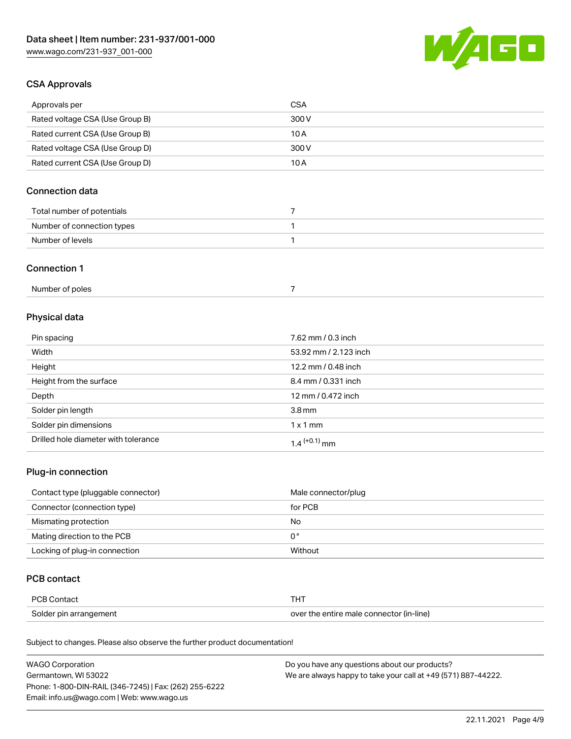

## CSA Approvals

| Approvals per                   | CSA   |
|---------------------------------|-------|
| Rated voltage CSA (Use Group B) | 300 V |
| Rated current CSA (Use Group B) | 10 A  |
| Rated voltage CSA (Use Group D) | 300 V |
| Rated current CSA (Use Group D) | 10 A  |

## Connection data

| Total number of potentials |  |
|----------------------------|--|
| Number of connection types |  |
| Number of levels           |  |

### Connection 1

| Number of poles |  |
|-----------------|--|
|-----------------|--|

# Physical data

| Pin spacing                          | 7.62 mm / 0.3 inch    |
|--------------------------------------|-----------------------|
| Width                                | 53.92 mm / 2.123 inch |
| Height                               | 12.2 mm / 0.48 inch   |
| Height from the surface              | 8.4 mm / 0.331 inch   |
| Depth                                | 12 mm / 0.472 inch    |
| Solder pin length                    | 3.8 <sub>mm</sub>     |
| Solder pin dimensions                | $1 \times 1$ mm       |
| Drilled hole diameter with tolerance | $1.4$ $(+0.1)$ mm     |

## Plug-in connection

| Contact type (pluggable connector) | Male connector/plug |
|------------------------------------|---------------------|
| Connector (connection type)        | for PCB             |
| Mismating protection               | No                  |
| Mating direction to the PCB        | 0°                  |
| Locking of plug-in connection      | Without             |

## PCB contact

| PCB Contact            | тнт                                      |
|------------------------|------------------------------------------|
| Solder pin arrangement | over the entire male connector (in-line) |

| <b>WAGO Corporation</b>                                | Do you have any questions about our products?                 |
|--------------------------------------------------------|---------------------------------------------------------------|
| Germantown, WI 53022                                   | We are always happy to take your call at +49 (571) 887-44222. |
| Phone: 1-800-DIN-RAIL (346-7245)   Fax: (262) 255-6222 |                                                               |
| Email: info.us@wago.com   Web: www.wago.us             |                                                               |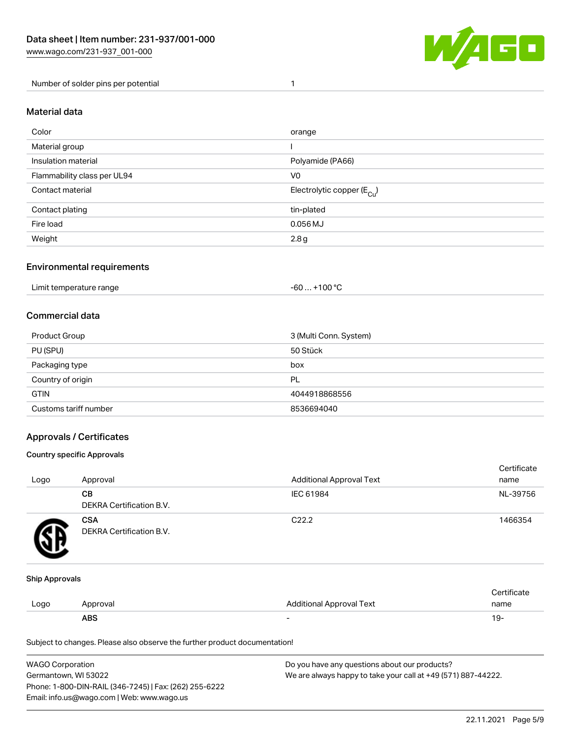

Number of solder pins per potential 1

#### Material data

| Color                       | orange                                 |
|-----------------------------|----------------------------------------|
| Material group              |                                        |
| Insulation material         | Polyamide (PA66)                       |
| Flammability class per UL94 | V <sub>0</sub>                         |
| Contact material            | Electrolytic copper (E <sub>Cu</sub> ) |
| Contact plating             | tin-plated                             |
| Fire load                   | $0.056$ MJ                             |
| Weight                      | 2.8g                                   |

## Environmental requirements

Limit temperature range  $-60... +100$  °C

## Commercial data

| Product Group         | 3 (Multi Conn. System) |
|-----------------------|------------------------|
| PU (SPU)              | 50 Stück               |
| Packaging type        | box                    |
| Country of origin     | PL                     |
| <b>GTIN</b>           | 4044918868556          |
| Customs tariff number | 8536694040             |

## Approvals / Certificates

#### Country specific Approvals

| Logo | Approval                               | <b>Additional Approval Text</b> | Certificate<br>name |
|------|----------------------------------------|---------------------------------|---------------------|
|      | CВ<br>DEKRA Certification B.V.         | IEC 61984                       | NL-39756            |
|      | <b>CSA</b><br>DEKRA Certification B.V. | C <sub>22.2</sub>               | 1466354             |

#### Ship Approvals

|      | ABS      |                                 | ιУ۰                |
|------|----------|---------------------------------|--------------------|
| Logo | Approval | <b>Additional Approval Text</b> | name               |
|      |          |                                 | <b>Certificate</b> |

| <b>WAGO Corporation</b>                                | Do you have any questions about our products?                 |
|--------------------------------------------------------|---------------------------------------------------------------|
| Germantown, WI 53022                                   | We are always happy to take your call at +49 (571) 887-44222. |
| Phone: 1-800-DIN-RAIL (346-7245)   Fax: (262) 255-6222 |                                                               |
| Email: info.us@wago.com   Web: www.wago.us             |                                                               |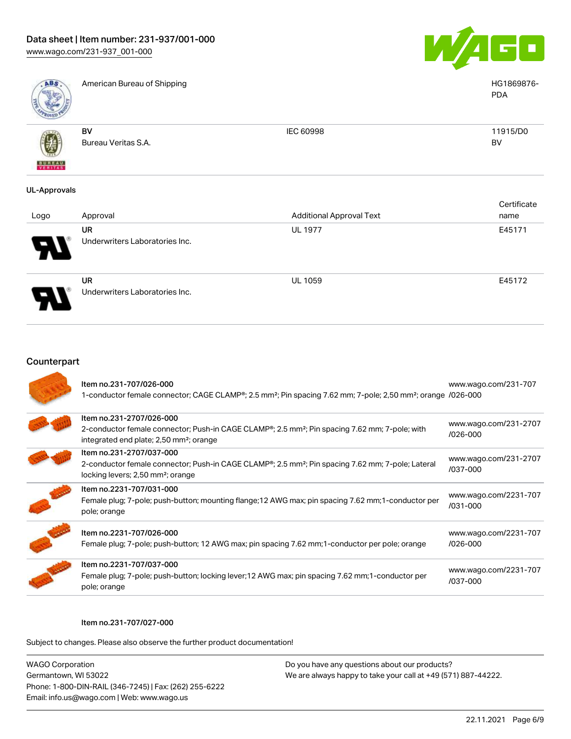



American Bureau of Shipping HG1869876-

| <b>Canada</b> |                     |           |          |
|---------------|---------------------|-----------|----------|
|               | BV                  | IEC 60998 | 11915/D0 |
|               | Bureau Veritas S.A. |           | BV       |
| 南             |                     |           |          |
| <b>BUNEAU</b> |                     |           |          |

## UL-Approvals

| Logo | Approval                             | <b>Additional Approval Text</b> | Certificate<br>name |
|------|--------------------------------------|---------------------------------|---------------------|
|      | UR<br>Underwriters Laboratories Inc. | <b>UL 1977</b>                  | E45171              |
|      | UR                                   | <b>UL 1059</b>                  | E45172              |



Underwriters Laboratories Inc.

| Counterpart |  |
|-------------|--|
|-------------|--|

| Item no.231-707/026-000<br>1-conductor female connector; CAGE CLAMP®; 2.5 mm <sup>2</sup> ; Pin spacing 7.62 mm; 7-pole; 2,50 mm <sup>2</sup> ; orange /026-000                                            | www.wago.com/231-707                  |
|------------------------------------------------------------------------------------------------------------------------------------------------------------------------------------------------------------|---------------------------------------|
| Item no.231-2707/026-000<br>2-conductor female connector; Push-in CAGE CLAMP <sup>®</sup> ; 2.5 mm <sup>2</sup> ; Pin spacing 7.62 mm; 7-pole; with<br>integrated end plate; 2,50 mm <sup>2</sup> ; orange | www.wago.com/231-2707<br>$/026 - 000$ |
| Item no.231-2707/037-000<br>2-conductor female connector; Push-in CAGE CLAMP <sup>®</sup> ; 2.5 mm <sup>2</sup> ; Pin spacing 7.62 mm; 7-pole; Lateral<br>locking levers; 2,50 mm <sup>2</sup> ; orange    | www.wago.com/231-2707<br>/037-000     |
| Item no.2231-707/031-000<br>Female plug; 7-pole; push-button; mounting flange; 12 AWG max; pin spacing 7.62 mm; 1-conductor per<br>pole; orange                                                            | www.wago.com/2231-707<br>$/031 - 000$ |
| Item no.2231-707/026-000<br>Female plug; 7-pole; push-button; 12 AWG max; pin spacing 7.62 mm; 1-conductor per pole; orange                                                                                | www.wago.com/2231-707<br>$/026 - 000$ |
| Item no.2231-707/037-000<br>Female plug; 7-pole; push-button; locking lever; 12 AWG max; pin spacing 7.62 mm; 1-conductor per<br>pole; orange                                                              | www.wago.com/2231-707<br>/037-000     |

#### Item no.231-707/027-000

Subject to changes. Please also observe the further product documentation!

| <b>WAGO Corporation</b>                                |  |
|--------------------------------------------------------|--|
| Germantown, WI 53022                                   |  |
| Phone: 1-800-DIN-RAIL (346-7245)   Fax: (262) 255-6222 |  |
| Email: info.us@wago.com   Web: www.wago.us             |  |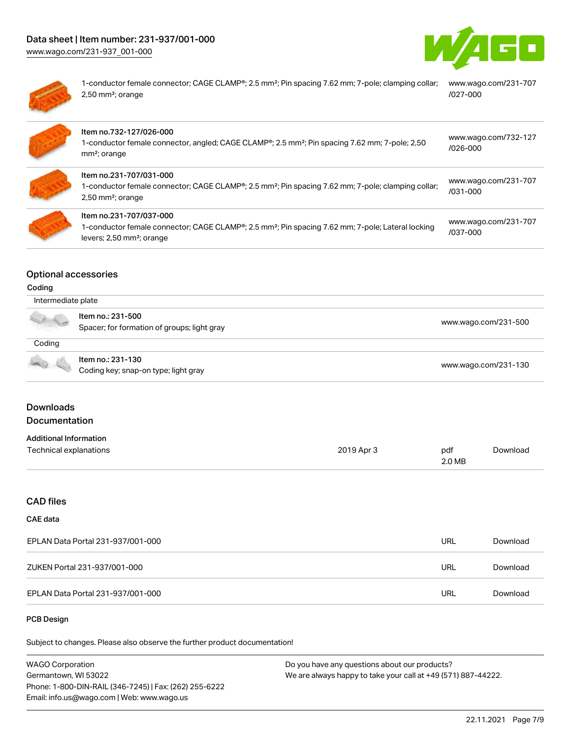[www.wago.com/231-937\\_001-000](http://www.wago.com/231-937_001-000)





1-conductor female connector; CAGE CLAMP®; 2.5 mm²; Pin spacing 7.62 mm; 7-pole; clamping collar; [www.wago.com/231-707](https://www.wago.com/231-707/027-000) 2,50 mm²; orange [/027-000](https://www.wago.com/231-707/027-000)

| Item no.732-127/026-000<br>1-conductor female connector, angled; CAGE CLAMP®; 2.5 mm <sup>2</sup> ; Pin spacing 7.62 mm; 7-pole; 2,50<br>mm <sup>2</sup> ; orange                 | www.wago.com/732-127<br>$/026 - 000$ |
|-----------------------------------------------------------------------------------------------------------------------------------------------------------------------------------|--------------------------------------|
| Item no.231-707/031-000<br>1-conductor female connector; CAGE CLAMP®; 2.5 mm <sup>2</sup> ; Pin spacing 7.62 mm; 7-pole; clamping collar;<br>$2,50$ mm <sup>2</sup> ; orange      | www.wago.com/231-707<br>$/031 - 000$ |
| Item no.231-707/037-000<br>1-conductor female connector; CAGE CLAMP®; 2.5 mm <sup>2</sup> ; Pin spacing 7.62 mm; 7-pole; Lateral locking<br>levers; 2,50 mm <sup>2</sup> ; orange | www.wago.com/231-707<br>/037-000     |

## Optional accessories

#### Coding

| Intermediate plate |                                                                  |                      |  |  |
|--------------------|------------------------------------------------------------------|----------------------|--|--|
|                    | Item no.: 231-500<br>Spacer; for formation of groups; light gray | www.wago.com/231-500 |  |  |
| Coding             |                                                                  |                      |  |  |
|                    | Item no.: 231-130<br>Coding key; snap-on type; light gray        | www.wago.com/231-130 |  |  |

## Downloads Documentation

## Additional Information

| Auuluvilai IIII viiliauvil |            |        |          |
|----------------------------|------------|--------|----------|
| Technical explanations     | 2019 Apr 3 | pdf    | Download |
|                            |            | 2.0 MB |          |

# CAD files

# CAE data

| EPLAN Data Portal 231-937/001-000 |     | Download |
|-----------------------------------|-----|----------|
| ZUKEN Portal 231-937/001-000      |     | Download |
| EPLAN Data Portal 231-937/001-000 | URL | Download |

#### PCB Design

| <b>WAGO Corporation</b>                                | Do you have any questions about our products?                 |
|--------------------------------------------------------|---------------------------------------------------------------|
| Germantown, WI 53022                                   | We are always happy to take your call at +49 (571) 887-44222. |
| Phone: 1-800-DIN-RAIL (346-7245)   Fax: (262) 255-6222 |                                                               |
| Email: info.us@wago.com   Web: www.wago.us             |                                                               |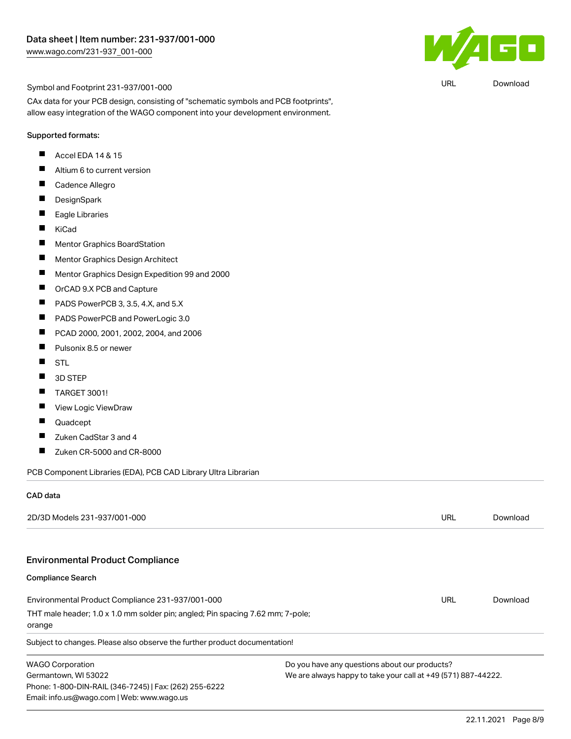

URL [Download](https://www.wago.com/global/d/UltraLibrarian_URLS_231-937_001-000)

#### Symbol and Footprint 231-937/001-000

CAx data for your PCB design, consisting of "schematic symbols and PCB footprints", allow easy integration of the WAGO component into your development environment.

#### Supported formats:

- Accel EDA 14 & 15  $\blacksquare$
- Altium 6 to current version П
- П Cadence Allegro
- П DesignSpark
- $\blacksquare$ Eagle Libraries
- KiCad  $\blacksquare$
- П Mentor Graphics BoardStation
- П Mentor Graphics Design Architect
- П Mentor Graphics Design Expedition 99 and 2000
- $\blacksquare$ OrCAD 9.X PCB and Capture
- П PADS PowerPCB 3, 3.5, 4.X, and 5.X
- $\blacksquare$ PADS PowerPCB and PowerLogic 3.0
- $\blacksquare$ PCAD 2000, 2001, 2002, 2004, and 2006
- П Pulsonix 8.5 or newer
- $\blacksquare$ **STL**
- $\blacksquare$ 3D STEP
- $\blacksquare$ TARGET 3001!
- П View Logic ViewDraw
- П Quadcept
- $\blacksquare$ Zuken CadStar 3 and 4
- Zuken CR-5000 and CR-8000  $\blacksquare$

PCB Component Libraries (EDA), PCB CAD Library Ultra Librarian

#### CAD data

| 2D/3D Models 231-937/001-000                                                                                                 |                                                               | URL | Download |
|------------------------------------------------------------------------------------------------------------------------------|---------------------------------------------------------------|-----|----------|
| <b>Environmental Product Compliance</b>                                                                                      |                                                               |     |          |
| <b>Compliance Search</b>                                                                                                     |                                                               |     |          |
| Environmental Product Compliance 231-937/001-000                                                                             |                                                               | URL | Download |
| THT male header; 1.0 x 1.0 mm solder pin; angled; Pin spacing 7.62 mm; 7-pole;<br>orange                                     |                                                               |     |          |
| Subject to changes. Please also observe the further product documentation!                                                   |                                                               |     |          |
| <b>WAGO Corporation</b>                                                                                                      | Do you have any questions about our products?                 |     |          |
| Germantown, WI 53022<br>Phone: 1-800-DIN-RAIL (346-7245)   Fax: (262) 255-6222<br>Email: info.us@wago.com   Web: www.wago.us | We are always happy to take your call at +49 (571) 887-44222. |     |          |